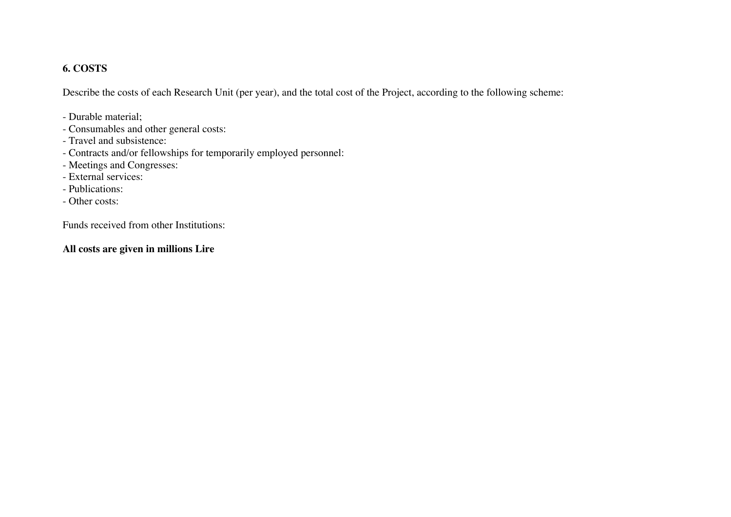### **6. COSTS**

Describe the costs of each Research Unit (per year), and the total cost of the Project, according to the following scheme:

- Durable material;
- Consumables and other general costs:
- Travel and subsistence:
- Contracts and/or fellowships for temporarily employed personnel:
- Meetings and Congresses:
- External services:
- Publications:
- Other costs:

Funds received from other Institutions:

#### **All costs are given in millions Lire**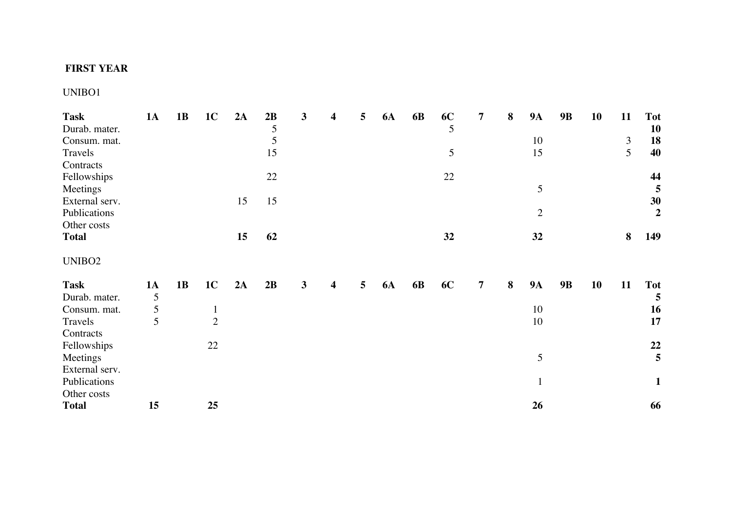### **FIRST YEAR**

UNIBO1

| <b>Task</b>        | <b>1A</b> | 1B | 1 <sub>C</sub> | 2A | 2B | 3 | 4                       | 5 | <b>6A</b> | 6 <b>B</b> | 6C | 7 | 8 | <b>9A</b>      | <b>9B</b> | 10 | 11             | <b>Tot</b>       |
|--------------------|-----------|----|----------------|----|----|---|-------------------------|---|-----------|------------|----|---|---|----------------|-----------|----|----------------|------------------|
| Durab. mater.      |           |    |                |    | 5  |   |                         |   |           |            | 5  |   |   |                |           |    |                | <b>10</b>        |
| Consum. mat.       |           |    |                |    | 5  |   |                         |   |           |            |    |   |   | 10             |           |    | $\mathfrak{Z}$ | 18               |
| Travels            |           |    |                |    | 15 |   |                         |   |           |            | 5  |   |   | 15             |           |    | 5              | 40               |
| Contracts          |           |    |                |    |    |   |                         |   |           |            |    |   |   |                |           |    |                |                  |
| Fellowships        |           |    |                |    | 22 |   |                         |   |           |            | 22 |   |   |                |           |    |                | 44               |
| Meetings           |           |    |                |    |    |   |                         |   |           |            |    |   |   | 5              |           |    |                | 5                |
| External serv.     |           |    |                | 15 | 15 |   |                         |   |           |            |    |   |   |                |           |    |                | 30               |
| Publications       |           |    |                |    |    |   |                         |   |           |            |    |   |   | $\overline{2}$ |           |    |                | $\boldsymbol{2}$ |
| Other costs        |           |    |                |    |    |   |                         |   |           |            |    |   |   |                |           |    |                |                  |
| <b>Total</b>       |           |    |                | 15 | 62 |   |                         |   |           |            | 32 |   |   | 32             |           |    | 8              | 149              |
| UNIBO <sub>2</sub> |           |    |                |    |    |   |                         |   |           |            |    |   |   |                |           |    |                |                  |
| <b>Task</b>        | <b>1A</b> | 1B | 1 <sub>C</sub> | 2A | 2B | 3 | $\overline{\mathbf{4}}$ | 5 | <b>6A</b> | 6 <b>B</b> | 6C | 7 | 8 | <b>9A</b>      | 9B        | 10 | 11             | <b>Tot</b>       |
| Durab. mater.      | 5         |    |                |    |    |   |                         |   |           |            |    |   |   |                |           |    |                | 5                |
| Consum. mat.       | 5         |    | $\mathbf{1}$   |    |    |   |                         |   |           |            |    |   |   | 10             |           |    |                | 16               |
| Travels            | 5         |    | $\overline{2}$ |    |    |   |                         |   |           |            |    |   |   | 10             |           |    |                | 17               |
| Contracts          |           |    |                |    |    |   |                         |   |           |            |    |   |   |                |           |    |                |                  |
| Fellowships        |           |    | 22             |    |    |   |                         |   |           |            |    |   |   |                |           |    |                | 22               |
| Meetings           |           |    |                |    |    |   |                         |   |           |            |    |   |   | 5              |           |    |                | 5                |
| External serv.     |           |    |                |    |    |   |                         |   |           |            |    |   |   |                |           |    |                |                  |
| Publications       |           |    |                |    |    |   |                         |   |           |            |    |   |   | $\mathbf{1}$   |           |    |                | $\mathbf{1}$     |
| Other costs        |           |    |                |    |    |   |                         |   |           |            |    |   |   |                |           |    |                |                  |
| <b>Total</b>       | 15        |    | 25             |    |    |   |                         |   |           |            |    |   |   | 26             |           |    |                | 66               |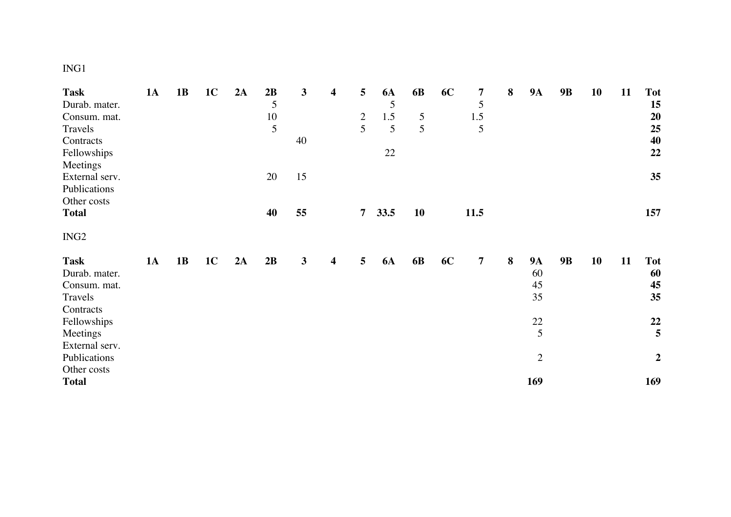# ING1

| <b>Task</b>      | <b>1A</b> | 1B | 1 <sub>C</sub> | 2A | 2B | 3            | $\overline{\mathbf{4}}$ | 5              | <b>6A</b> | 6 <b>B</b> | 6C | 7              | $\bf{8}$ | <b>9A</b>      | 9B        | 10 | 11 | <b>Tot</b>              |
|------------------|-----------|----|----------------|----|----|--------------|-------------------------|----------------|-----------|------------|----|----------------|----------|----------------|-----------|----|----|-------------------------|
| Durab. mater.    |           |    |                |    | 5  |              |                         |                | 5         |            |    | $\mathfrak{S}$ |          |                |           |    |    | 15                      |
| Consum. mat.     |           |    |                |    | 10 |              |                         | $\overline{2}$ | 1.5       | 5          |    | $1.5\,$        |          |                |           |    |    | 20                      |
| Travels          |           |    |                |    | 5  |              |                         | 5              | 5         | 5          |    | 5              |          |                |           |    |    | 25                      |
| Contracts        |           |    |                |    |    | 40           |                         |                |           |            |    |                |          |                |           |    |    | 40                      |
| Fellowships      |           |    |                |    |    |              |                         |                | 22        |            |    |                |          |                |           |    |    | 22                      |
| Meetings         |           |    |                |    |    |              |                         |                |           |            |    |                |          |                |           |    |    |                         |
| External serv.   |           |    |                |    | 20 | 15           |                         |                |           |            |    |                |          |                |           |    |    | 35                      |
| Publications     |           |    |                |    |    |              |                         |                |           |            |    |                |          |                |           |    |    |                         |
| Other costs      |           |    |                |    |    |              |                         |                |           |            |    |                |          |                |           |    |    |                         |
| <b>Total</b>     |           |    |                |    | 40 | 55           |                         | $\overline{7}$ | 33.5      | 10         |    | 11.5           |          |                |           |    |    | 157                     |
|                  |           |    |                |    |    |              |                         |                |           |            |    |                |          |                |           |    |    |                         |
| ING <sub>2</sub> |           |    |                |    |    |              |                         |                |           |            |    |                |          |                |           |    |    |                         |
|                  |           |    |                |    |    |              |                         |                |           |            |    |                |          |                |           |    |    |                         |
| <b>Task</b>      | <b>1A</b> | 1B | 1 <sup>C</sup> | 2A | 2B | $\mathbf{3}$ | $\boldsymbol{4}$        | 5              | <b>6A</b> | 6 <b>B</b> | 6C | $\overline{7}$ | 8        | <b>9A</b>      | <b>9B</b> | 10 | 11 | <b>Tot</b>              |
| Durab. mater.    |           |    |                |    |    |              |                         |                |           |            |    |                |          | 60             |           |    |    | 60                      |
| Consum. mat.     |           |    |                |    |    |              |                         |                |           |            |    |                |          | 45             |           |    |    | 45                      |
| Travels          |           |    |                |    |    |              |                         |                |           |            |    |                |          | 35             |           |    |    | 35                      |
| Contracts        |           |    |                |    |    |              |                         |                |           |            |    |                |          |                |           |    |    |                         |
| Fellowships      |           |    |                |    |    |              |                         |                |           |            |    |                |          | $22\,$         |           |    |    | 22                      |
| Meetings         |           |    |                |    |    |              |                         |                |           |            |    |                |          | 5              |           |    |    | $\overline{\mathbf{5}}$ |
| External serv.   |           |    |                |    |    |              |                         |                |           |            |    |                |          |                |           |    |    |                         |
| Publications     |           |    |                |    |    |              |                         |                |           |            |    |                |          | $\overline{2}$ |           |    |    | $\overline{2}$          |
| Other costs      |           |    |                |    |    |              |                         |                |           |            |    |                |          |                |           |    |    |                         |
| <b>Total</b>     |           |    |                |    |    |              |                         |                |           |            |    |                |          | 169            |           |    |    | 169                     |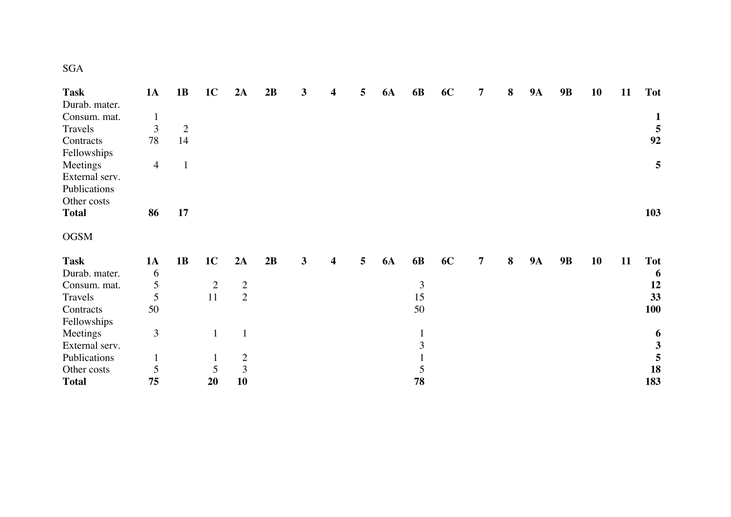| <b>Task</b>    | <b>1A</b>      | <b>1B</b>      | 1 <sub>C</sub> | 2A             | 2B | 3 | 4 | 5 | <b>6A</b> | 6 <b>B</b>   | 6C | 7 | 8 | <b>9A</b> | <b>9B</b> | 10 | 11 | <b>Tot</b>     |
|----------------|----------------|----------------|----------------|----------------|----|---|---|---|-----------|--------------|----|---|---|-----------|-----------|----|----|----------------|
| Durab. mater.  |                |                |                |                |    |   |   |   |           |              |    |   |   |           |           |    |    |                |
| Consum. mat.   | $\mathbf{1}$   |                |                |                |    |   |   |   |           |              |    |   |   |           |           |    |    | $\mathbf{1}$   |
| Travels        | 3              | $\overline{2}$ |                |                |    |   |   |   |           |              |    |   |   |           |           |    |    | $\frac{5}{92}$ |
| Contracts      | 78             | 14             |                |                |    |   |   |   |           |              |    |   |   |           |           |    |    |                |
| Fellowships    |                |                |                |                |    |   |   |   |           |              |    |   |   |           |           |    |    |                |
| Meetings       | $\overline{4}$ | $\mathbf{1}$   |                |                |    |   |   |   |           |              |    |   |   |           |           |    |    | 5              |
| External serv. |                |                |                |                |    |   |   |   |           |              |    |   |   |           |           |    |    |                |
| Publications   |                |                |                |                |    |   |   |   |           |              |    |   |   |           |           |    |    |                |
| Other costs    |                |                |                |                |    |   |   |   |           |              |    |   |   |           |           |    |    |                |
| <b>Total</b>   | 86             | 17             |                |                |    |   |   |   |           |              |    |   |   |           |           |    |    | 103            |
| <b>OGSM</b>    |                |                |                |                |    |   |   |   |           |              |    |   |   |           |           |    |    |                |
| <b>Task</b>    | <b>1A</b>      | 1B             | 1 <sub>C</sub> | 2A             | 2B | 3 | 4 | 5 | <b>6A</b> | 6 <b>B</b>   | 6C | 7 | 8 | <b>9A</b> | <b>9B</b> | 10 | 11 | <b>Tot</b>     |
| Durab. mater.  | 6              |                |                |                |    |   |   |   |           |              |    |   |   |           |           |    |    | 6              |
| Consum. mat.   | 5              |                | $\overline{2}$ | $\overline{2}$ |    |   |   |   |           | 3            |    |   |   |           |           |    |    | 12             |
| Travels        | 5              |                | 11             | $\overline{2}$ |    |   |   |   |           | 15           |    |   |   |           |           |    |    | 33             |
| Contracts      | 50             |                |                |                |    |   |   |   |           | 50           |    |   |   |           |           |    |    | <b>100</b>     |
| Fellowships    |                |                |                |                |    |   |   |   |           |              |    |   |   |           |           |    |    |                |
| Meetings       | $\overline{3}$ |                |                | $\mathbf{1}$   |    |   |   |   |           | $\mathbf{1}$ |    |   |   |           |           |    |    | 6              |
| External serv. |                |                |                |                |    |   |   |   |           | 3            |    |   |   |           |           |    |    | $\mathbf{3}$   |
| Publications   |                |                | $\mathbf{I}$   | $\overline{c}$ |    |   |   |   |           |              |    |   |   |           |           |    |    | 5              |
| Other costs    | 5              |                | 5              | $\overline{3}$ |    |   |   |   |           | 5            |    |   |   |           |           |    |    | 18             |
| <b>Total</b>   | 75             |                | 20             | 10             |    |   |   |   |           | 78           |    |   |   |           |           |    |    | 183            |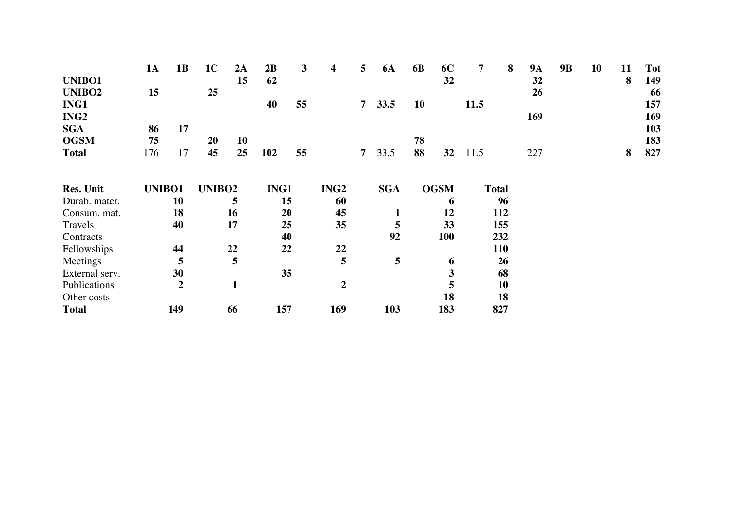|                    | <b>1A</b> | 1B               | 1 <sub>C</sub>     | 2A           | 2B   | 3  | 4                | 5              | <b>6A</b>    | 6 <b>B</b> | 6C          | 7    | 8            | <b>9A</b> | <b>9B</b> | 10 | 11 | <b>Tot</b> |
|--------------------|-----------|------------------|--------------------|--------------|------|----|------------------|----------------|--------------|------------|-------------|------|--------------|-----------|-----------|----|----|------------|
| UNIBO1             |           |                  |                    | 15           | 62   |    |                  |                |              |            | 32          |      |              | 32        |           |    | 8  | 149        |
| UNIBO <sub>2</sub> | 15        |                  | 25                 |              |      |    |                  |                |              |            |             |      |              | 26        |           |    |    | 66         |
| ING1               |           |                  |                    |              | 40   | 55 |                  | $\overline{7}$ | 33.5         | 10         |             | 11.5 |              |           |           |    |    | 157        |
| ING <sub>2</sub>   |           |                  |                    |              |      |    |                  |                |              |            |             |      |              | 169       |           |    |    | 169        |
| <b>SGA</b>         | 86        | 17               |                    |              |      |    |                  |                |              |            |             |      |              |           |           |    |    | 103        |
| <b>OGSM</b>        | 75        |                  | 20                 | 10           |      |    |                  |                |              | 78         |             |      |              |           |           |    |    | 183        |
| <b>Total</b>       | 176       | 17               | 45                 | 25           | 102  | 55 |                  | $\overline{7}$ | 33.5         | 88         | 32          | 11.5 |              | 227       |           |    | 8  | 827        |
|                    |           |                  |                    |              |      |    |                  |                |              |            |             |      |              |           |           |    |    |            |
| <b>Res. Unit</b>   | UNIBO1    |                  | UNIBO <sub>2</sub> |              | ING1 |    | ING <sub>2</sub> |                | <b>SGA</b>   |            | <b>OGSM</b> |      | <b>Total</b> |           |           |    |    |            |
| Durab. mater.      |           | <b>10</b>        |                    | 5            |      | 15 | 60               |                |              |            | 6           |      | 96           |           |           |    |    |            |
| Consum. mat.       |           | 18               |                    | 16           |      | 20 | 45               |                | $\mathbf{1}$ |            | 12          |      | 112          |           |           |    |    |            |
| Travels            |           | 40               |                    | 17           |      | 25 | 35               |                | 5            |            | 33          |      | 155          |           |           |    |    |            |
| Contracts          |           |                  |                    |              |      | 40 |                  |                | 92           |            | <b>100</b>  |      | 232          |           |           |    |    |            |
| Fellowships        |           | 44               |                    | 22           |      | 22 | 22               |                |              |            |             |      | <b>110</b>   |           |           |    |    |            |
| Meetings           |           | 5                |                    | 5            |      |    | 5                |                | 5            |            | 6           |      | 26           |           |           |    |    |            |
| External serv.     |           | 30               |                    |              |      | 35 |                  |                |              |            | 3           |      | 68           |           |           |    |    |            |
| Publications       |           | $\boldsymbol{2}$ |                    | $\mathbf{1}$ |      |    | $\overline{2}$   |                |              |            | 5           |      | 10           |           |           |    |    |            |
| Other costs        |           |                  |                    |              |      |    |                  |                |              |            | 18          |      | 18           |           |           |    |    |            |
| <b>Total</b>       |           | 149              |                    | 66           | 157  |    | 169              |                | 103          |            | 183         |      | 827          |           |           |    |    |            |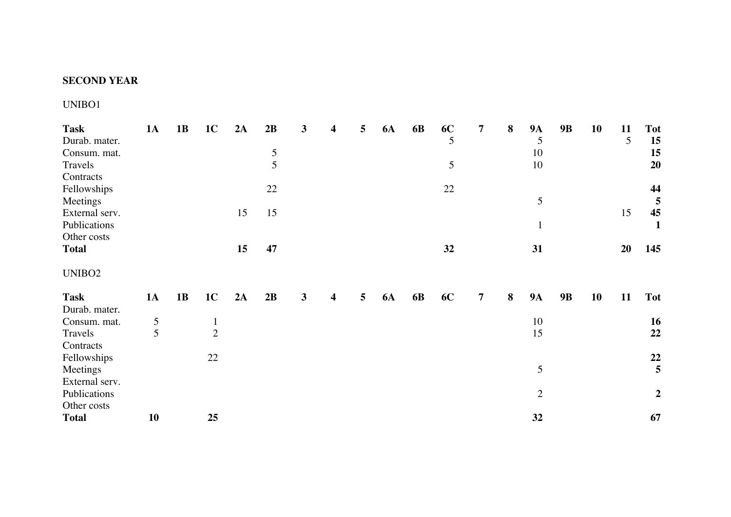## **SECOND YEAR**

# UNIBO1

| <b>Task</b><br>Durab. mater.<br>Consum. mat.<br>Travels | <b>1A</b> | 1B | 1 <sub>C</sub>                 | 2A | 2B<br>5<br>5 | $\mathbf{3}$ | 4                       | 5 | <b>6A</b> | 6 <b>B</b> | 6C<br>5<br>5 | 7              | 8 | <b>9A</b><br>5<br>10<br>10 | <b>9B</b> | 10 | 11<br>5 | <b>Tot</b><br>15<br>15<br>20 |
|---------------------------------------------------------|-----------|----|--------------------------------|----|--------------|--------------|-------------------------|---|-----------|------------|--------------|----------------|---|----------------------------|-----------|----|---------|------------------------------|
| Contracts<br>Fellowships                                |           |    |                                |    | 22           |              |                         |   |           |            | 22           |                |   |                            |           |    |         | 44                           |
| Meetings<br>External serv.                              |           |    |                                | 15 | 15           |              |                         |   |           |            |              |                |   | 5                          |           |    | 15      | $\overline{5}$<br>45         |
| Publications<br>Other costs                             |           |    |                                |    |              |              |                         |   |           |            |              |                |   | $\mathbf{1}$               |           |    |         | $\mathbf{1}$                 |
| <b>Total</b>                                            |           |    |                                | 15 | 47           |              |                         |   |           |            | 32           |                |   | 31                         |           |    | 20      | 145                          |
| UNIBO <sub>2</sub>                                      |           |    |                                |    |              |              |                         |   |           |            |              |                |   |                            |           |    |         |                              |
| <b>Task</b>                                             | <b>1A</b> | 1B | 1 <sub>C</sub>                 | 2A | 2B           | $\mathbf{3}$ | $\overline{\mathbf{4}}$ | 5 | <b>6A</b> | 6 <b>B</b> | 6C           | $\overline{7}$ | 8 | <b>9A</b>                  | <b>9B</b> | 10 | 11      | <b>Tot</b>                   |
| Durab. mater.                                           |           |    |                                |    |              |              |                         |   |           |            |              |                |   |                            |           |    |         |                              |
| Consum. mat.<br>Travels                                 | 5<br>5    |    | $\mathbf{1}$<br>$\overline{2}$ |    |              |              |                         |   |           |            |              |                |   | 10<br>15                   |           |    |         | 16<br>22                     |
| Contracts                                               |           |    |                                |    |              |              |                         |   |           |            |              |                |   |                            |           |    |         |                              |
| Fellowships                                             |           |    | 22                             |    |              |              |                         |   |           |            |              |                |   |                            |           |    |         | 22                           |
| Meetings                                                |           |    |                                |    |              |              |                         |   |           |            |              |                |   | 5                          |           |    |         | $\overline{\mathbf{5}}$      |
| External serv.                                          |           |    |                                |    |              |              |                         |   |           |            |              |                |   |                            |           |    |         |                              |
| Publications                                            |           |    |                                |    |              |              |                         |   |           |            |              |                |   | $\mathbf{2}$               |           |    |         | $\boldsymbol{2}$             |
| Other costs                                             |           |    |                                |    |              |              |                         |   |           |            |              |                |   |                            |           |    |         |                              |
| <b>Total</b>                                            | 10        |    | 25                             |    |              |              |                         |   |           |            |              |                |   | 32                         |           |    |         | 67                           |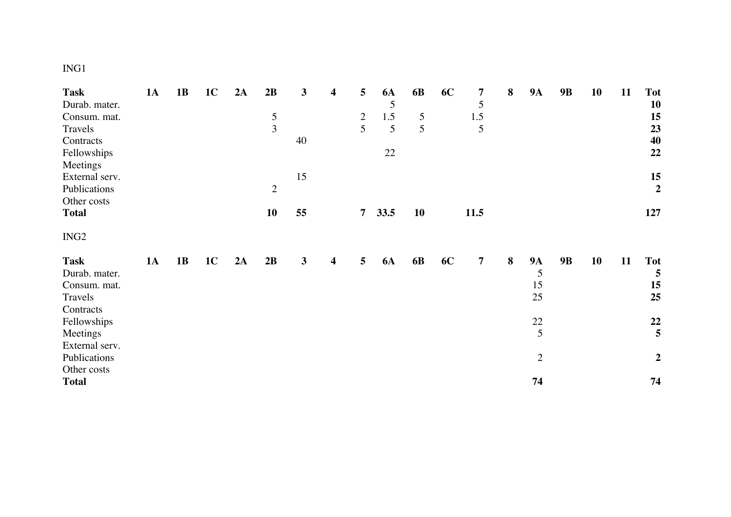# ING1

| <b>Task</b>      | <b>1A</b> | 1B | 1 <sub>C</sub> | 2A | 2B          | 3            | $\overline{\mathbf{4}}$ | 5              | <b>6A</b> | 6 <b>B</b> | <b>6C</b> | 7              | 8 | <b>9A</b>      | 9B | 10 | 11 | <b>Tot</b>              |
|------------------|-----------|----|----------------|----|-------------|--------------|-------------------------|----------------|-----------|------------|-----------|----------------|---|----------------|----|----|----|-------------------------|
| Durab. mater.    |           |    |                |    |             |              |                         |                | 5         |            |           | $\mathfrak{S}$ |   |                |    |    |    | 10                      |
| Consum. mat.     |           |    |                |    | $rac{5}{3}$ |              |                         | $\overline{2}$ | 1.5       | 5          |           | $1.5\,$        |   |                |    |    |    | 15                      |
| Travels          |           |    |                |    |             |              |                         | 5              | 5         | 5          |           | 5              |   |                |    |    |    | 23                      |
| Contracts        |           |    |                |    |             | 40           |                         |                |           |            |           |                |   |                |    |    |    | 40                      |
| Fellowships      |           |    |                |    |             |              |                         |                | 22        |            |           |                |   |                |    |    |    | 22                      |
| Meetings         |           |    |                |    |             |              |                         |                |           |            |           |                |   |                |    |    |    |                         |
| External serv.   |           |    |                |    |             | 15           |                         |                |           |            |           |                |   |                |    |    |    | $15\,$                  |
| Publications     |           |    |                |    | $\sqrt{2}$  |              |                         |                |           |            |           |                |   |                |    |    |    | $\overline{2}$          |
| Other costs      |           |    |                |    |             |              |                         |                |           |            |           |                |   |                |    |    |    |                         |
| <b>Total</b>     |           |    |                |    | <b>10</b>   | 55           |                         | $\overline{7}$ | 33.5      | <b>10</b>  |           | 11.5           |   |                |    |    |    | 127                     |
| ING <sub>2</sub> |           |    |                |    |             |              |                         |                |           |            |           |                |   |                |    |    |    |                         |
| <b>Task</b>      | <b>1A</b> | 1B | 1 <sup>C</sup> | 2A | 2B          | $\mathbf{3}$ | $\overline{\mathbf{4}}$ | 5              | <b>6A</b> | 6 <b>B</b> | 6C        | $\overline{7}$ | 8 | <b>9A</b>      | 9B | 10 | 11 | <b>Tot</b>              |
| Durab. mater.    |           |    |                |    |             |              |                         |                |           |            |           |                |   | 5              |    |    |    | 5                       |
| Consum. mat.     |           |    |                |    |             |              |                         |                |           |            |           |                |   | 15             |    |    |    | 15                      |
| Travels          |           |    |                |    |             |              |                         |                |           |            |           |                |   | 25             |    |    |    | 25                      |
| Contracts        |           |    |                |    |             |              |                         |                |           |            |           |                |   |                |    |    |    |                         |
| Fellowships      |           |    |                |    |             |              |                         |                |           |            |           |                |   | $22\,$         |    |    |    | 22                      |
| Meetings         |           |    |                |    |             |              |                         |                |           |            |           |                |   | 5              |    |    |    | $\overline{\mathbf{5}}$ |
| External serv.   |           |    |                |    |             |              |                         |                |           |            |           |                |   |                |    |    |    |                         |
| Publications     |           |    |                |    |             |              |                         |                |           |            |           |                |   | $\overline{2}$ |    |    |    | $\boldsymbol{2}$        |
| Other costs      |           |    |                |    |             |              |                         |                |           |            |           |                |   |                |    |    |    |                         |
| <b>Total</b>     |           |    |                |    |             |              |                         |                |           |            |           |                |   | 74             |    |    |    | 74                      |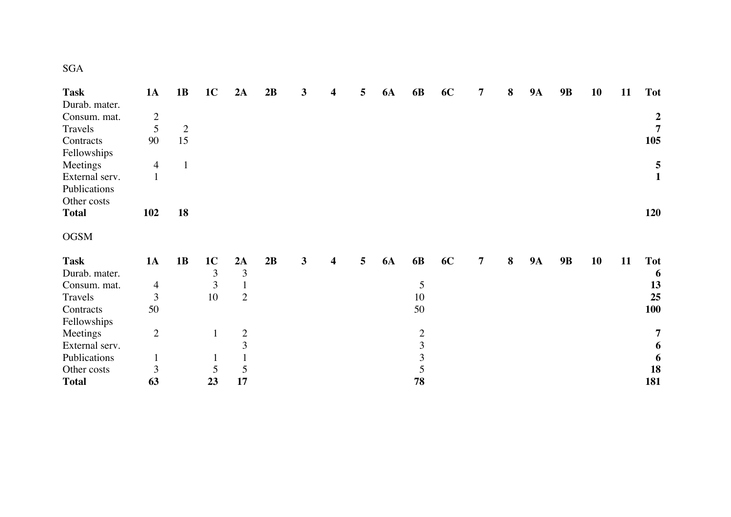| ۰.<br>v |  |
|---------|--|

| <b>Task</b>    | 1A             | 1B             | 1 <sub>C</sub> | 2A             | 2B | 3 | 4                       | 5 | <b>6A</b> | 6 <b>B</b>    | 6C | 7 | $\bf{8}$ | <b>9A</b> | <b>9B</b> | 10 | 11 | <b>Tot</b>       |
|----------------|----------------|----------------|----------------|----------------|----|---|-------------------------|---|-----------|---------------|----|---|----------|-----------|-----------|----|----|------------------|
| Durab. mater.  |                |                |                |                |    |   |                         |   |           |               |    |   |          |           |           |    |    |                  |
| Consum. mat.   | $\overline{2}$ |                |                |                |    |   |                         |   |           |               |    |   |          |           |           |    |    | $\boldsymbol{2}$ |
| Travels        | 5              | $\overline{2}$ |                |                |    |   |                         |   |           |               |    |   |          |           |           |    |    | $\overline{7}$   |
| Contracts      | 90             | 15             |                |                |    |   |                         |   |           |               |    |   |          |           |           |    |    | 105              |
| Fellowships    |                |                |                |                |    |   |                         |   |           |               |    |   |          |           |           |    |    |                  |
| Meetings       | $\overline{4}$ | $\mathbf{1}$   |                |                |    |   |                         |   |           |               |    |   |          |           |           |    |    | 5                |
| External serv. |                |                |                |                |    |   |                         |   |           |               |    |   |          |           |           |    |    | $\mathbf{1}$     |
| Publications   |                |                |                |                |    |   |                         |   |           |               |    |   |          |           |           |    |    |                  |
| Other costs    |                |                |                |                |    |   |                         |   |           |               |    |   |          |           |           |    |    |                  |
| <b>Total</b>   | 102            | 18             |                |                |    |   |                         |   |           |               |    |   |          |           |           |    |    | 120              |
| <b>OGSM</b>    |                |                |                |                |    |   |                         |   |           |               |    |   |          |           |           |    |    |                  |
| <b>Task</b>    | <b>1A</b>      | 1B             | 1 <sub>C</sub> | 2A             | 2B | 3 | $\overline{\mathbf{4}}$ | 5 | <b>6A</b> | 6 <b>B</b>    | 6C | 7 | 8        | <b>9A</b> | <b>9B</b> | 10 | 11 | <b>Tot</b>       |
| Durab. mater.  |                |                | 3              | 3              |    |   |                         |   |           |               |    |   |          |           |           |    |    | 6                |
| Consum. mat.   | $\overline{4}$ |                | 3              |                |    |   |                         |   |           | 5             |    |   |          |           |           |    |    | 13               |
| Travels        | $\overline{3}$ |                | 10             | $\overline{2}$ |    |   |                         |   |           | 10            |    |   |          |           |           |    |    | 25               |
| Contracts      | 50             |                |                |                |    |   |                         |   |           | 50            |    |   |          |           |           |    |    | 100              |
| Fellowships    |                |                |                |                |    |   |                         |   |           |               |    |   |          |           |           |    |    |                  |
| Meetings       | $\overline{2}$ |                | $\mathbf{1}$   | $\overline{2}$ |    |   |                         |   |           |               |    |   |          |           |           |    |    | 7                |
| External serv. |                |                |                | $\overline{3}$ |    |   |                         |   |           | $\frac{2}{3}$ |    |   |          |           |           |    |    | 6                |
| Publications   |                |                | $\mathbf{1}$   |                |    |   |                         |   |           | 3             |    |   |          |           |           |    |    | 6                |
| Other costs    | 3              |                | 5              | 5              |    |   |                         |   |           | 5             |    |   |          |           |           |    |    | 18               |
| <b>Total</b>   | 63             |                | 23             | 17             |    |   |                         |   |           | 78            |    |   |          |           |           |    |    | 181              |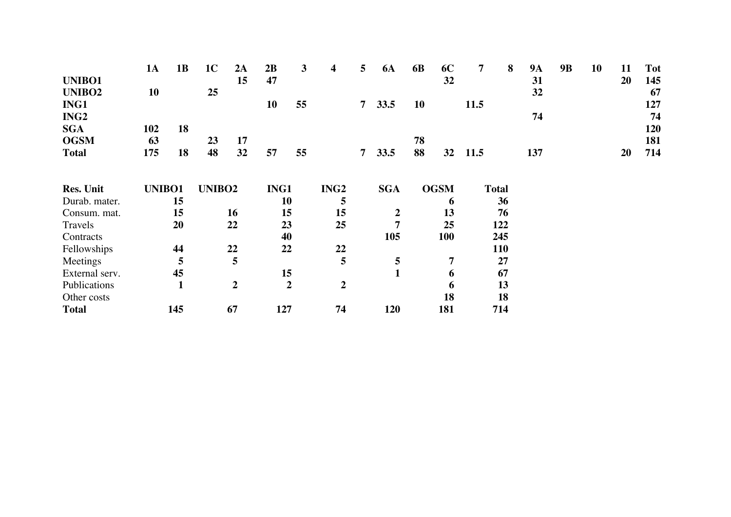|                  | <b>1A</b>     | 1B  | 1 <sub>C</sub>     | 2A               | 2B   | 3              | 4                | 5 | <b>6A</b>        | 6 <b>B</b> | 6C             | 7    | 8            | <b>9A</b> | <b>9B</b> | 10 | 11 | <b>Tot</b> |
|------------------|---------------|-----|--------------------|------------------|------|----------------|------------------|---|------------------|------------|----------------|------|--------------|-----------|-----------|----|----|------------|
| UNIBO1           |               |     |                    | 15               | 47   |                |                  |   |                  |            | 32             |      |              | 31        |           |    | 20 | 145        |
| <b>UNIBO2</b>    | 10            |     | 25                 |                  |      |                |                  |   |                  |            |                |      |              | 32        |           |    |    | 67         |
| ING1             |               |     |                    |                  | 10   | 55             |                  | 7 | 33.5             | 10         |                | 11.5 |              |           |           |    |    | 127        |
| ING <sub>2</sub> |               |     |                    |                  |      |                |                  |   |                  |            |                |      |              | 74        |           |    |    | 74         |
| <b>SGA</b>       | 102           | 18  |                    |                  |      |                |                  |   |                  |            |                |      |              |           |           |    |    | 120        |
| <b>OGSM</b>      | 63            |     | 23                 | 17               |      |                |                  |   |                  | 78         |                |      |              |           |           |    |    | 181        |
| <b>Total</b>     | 175           | 18  | 48                 | 32               | 57   | 55             |                  | 7 | 33.5             | 88         | 32             | 11.5 |              | 137       |           |    | 20 | 714        |
|                  |               |     |                    |                  |      |                |                  |   |                  |            |                |      |              |           |           |    |    |            |
| <b>Res. Unit</b> | <b>UNIBO1</b> |     | UNIBO <sub>2</sub> |                  | ING1 |                | ING <sub>2</sub> |   | <b>SGA</b>       |            | <b>OGSM</b>    |      | <b>Total</b> |           |           |    |    |            |
| Durab. mater.    |               | 15  |                    |                  |      | 10             | 5                |   |                  |            | 6              |      | 36           |           |           |    |    |            |
| Consum. mat.     |               | 15  |                    | 16               |      | 15             | 15               |   | $\boldsymbol{2}$ |            | 13             |      | 76           |           |           |    |    |            |
| Travels          |               | 20  |                    | 22               |      | 23             | 25               |   | $\overline{7}$   |            | 25             |      | 122          |           |           |    |    |            |
| Contracts        |               |     |                    |                  |      | 40             |                  |   | 105              |            | <b>100</b>     |      | 245          |           |           |    |    |            |
| Fellowships      |               | 44  |                    | 22               |      | 22             | 22               |   |                  |            |                |      | <b>110</b>   |           |           |    |    |            |
| Meetings         |               | 5   |                    | 5                |      |                | 5                |   | 5                |            | $\overline{7}$ |      | 27           |           |           |    |    |            |
| External serv.   |               | 45  |                    |                  |      | 15             |                  |   | $\mathbf{1}$     |            | 6              |      | 67           |           |           |    |    |            |
| Publications     |               | 1   |                    | $\boldsymbol{2}$ |      | $\overline{2}$ | $\boldsymbol{2}$ |   |                  |            | 6              |      | 13           |           |           |    |    |            |
| Other costs      |               |     |                    |                  |      |                |                  |   |                  |            | 18             |      | 18           |           |           |    |    |            |
| <b>Total</b>     |               | 145 |                    | 67               | 127  |                | 74               |   | 120              |            | 181            |      | 714          |           |           |    |    |            |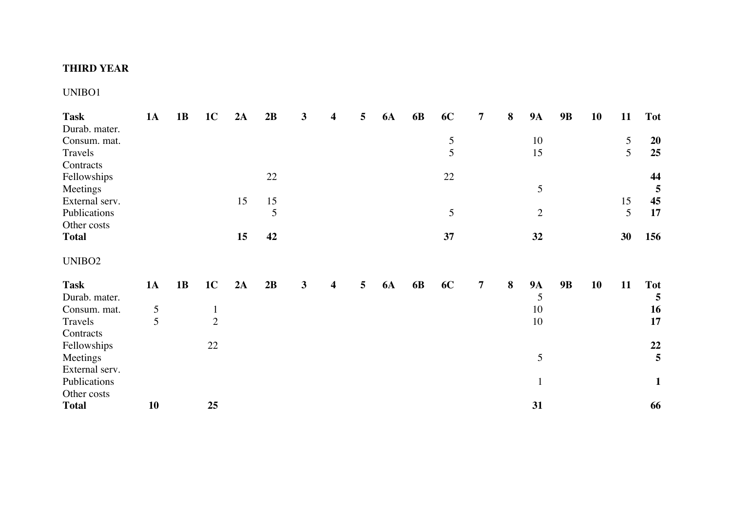## **THIRD YEAR**

#### UNIBO1

| <b>Task</b>        | <b>1A</b> | 1B | 1 <sub>C</sub> | 2A | 2B             | $\mathbf{3}$ | 4                       | 5 | <b>6A</b> | 6 <b>B</b> | 6C          | 7              | 8 | <b>9A</b>    | 9B        | 10 | 11 | <b>Tot</b>   |
|--------------------|-----------|----|----------------|----|----------------|--------------|-------------------------|---|-----------|------------|-------------|----------------|---|--------------|-----------|----|----|--------------|
| Durab. mater.      |           |    |                |    |                |              |                         |   |           |            |             |                |   |              |           |    |    |              |
| Consum. mat.       |           |    |                |    |                |              |                         |   |           |            | $rac{5}{5}$ |                |   | 10           |           |    | 5  | <b>20</b>    |
| Travels            |           |    |                |    |                |              |                         |   |           |            |             |                |   | 15           |           |    | 5  | 25           |
| Contracts          |           |    |                |    |                |              |                         |   |           |            |             |                |   |              |           |    |    |              |
| Fellowships        |           |    |                |    | 22             |              |                         |   |           |            | 22          |                |   |              |           |    |    | 44           |
| Meetings           |           |    |                |    |                |              |                         |   |           |            |             |                |   | 5            |           |    |    | 5            |
| External serv.     |           |    |                | 15 | 15             |              |                         |   |           |            |             |                |   |              |           |    | 15 | 45           |
| Publications       |           |    |                |    | $\mathfrak{S}$ |              |                         |   |           |            | 5           |                |   | $\mathbf{2}$ |           |    | 5  | 17           |
| Other costs        |           |    |                |    |                |              |                         |   |           |            |             |                |   |              |           |    |    |              |
| <b>Total</b>       |           |    |                | 15 | 42             |              |                         |   |           |            | 37          |                |   | 32           |           |    | 30 | 156          |
| UNIBO <sub>2</sub> |           |    |                |    |                |              |                         |   |           |            |             |                |   |              |           |    |    |              |
| <b>Task</b>        | <b>1A</b> | 1B | 1 <sub>C</sub> | 2A | 2B             | $\mathbf{3}$ | $\overline{\mathbf{4}}$ | 5 | <b>6A</b> | <b>6B</b>  | <b>6C</b>   | $\overline{7}$ | 8 | <b>9A</b>    | <b>9B</b> | 10 | 11 | <b>Tot</b>   |
| Durab. mater.      |           |    |                |    |                |              |                         |   |           |            |             |                |   | 5            |           |    |    | 5            |
| Consum. mat.       | 5         |    | $\mathbf{1}$   |    |                |              |                         |   |           |            |             |                |   | 10           |           |    |    | 16           |
| Travels            | 5         |    | $\overline{2}$ |    |                |              |                         |   |           |            |             |                |   | 10           |           |    |    | 17           |
| Contracts          |           |    |                |    |                |              |                         |   |           |            |             |                |   |              |           |    |    |              |
| Fellowships        |           |    | 22             |    |                |              |                         |   |           |            |             |                |   |              |           |    |    | 22           |
| Meetings           |           |    |                |    |                |              |                         |   |           |            |             |                |   | 5            |           |    |    | 5            |
| External serv.     |           |    |                |    |                |              |                         |   |           |            |             |                |   |              |           |    |    |              |
| Publications       |           |    |                |    |                |              |                         |   |           |            |             |                |   | $\mathbf{1}$ |           |    |    | $\mathbf{1}$ |
| Other costs        |           |    |                |    |                |              |                         |   |           |            |             |                |   |              |           |    |    |              |
| <b>Total</b>       | 10        |    | 25             |    |                |              |                         |   |           |            |             |                |   | 31           |           |    |    | 66           |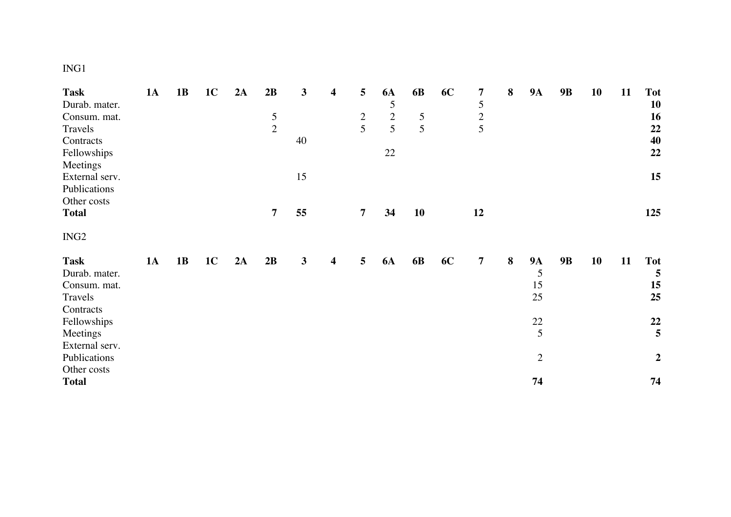# ING1

| <b>Task</b>      | 1A | 1B | 1 <sub>C</sub> | 2A | 2B             | 3  | $\overline{\mathbf{4}}$ | 5              | <b>6A</b>  | 6 <b>B</b> | 6C | 7              | $\bf{8}$ | <b>9A</b>      | 9B | 10 | 11 | <b>Tot</b>       |
|------------------|----|----|----------------|----|----------------|----|-------------------------|----------------|------------|------------|----|----------------|----------|----------------|----|----|----|------------------|
| Durab. mater.    |    |    |                |    |                |    |                         |                | 5          |            |    | 5              |          |                |    |    |    | 10               |
| Consum. mat.     |    |    |                |    |                |    |                         |                | $\sqrt{2}$ | 5          |    | $\frac{2}{5}$  |          |                |    |    |    | 16               |
| Travels          |    |    |                |    | $\frac{5}{2}$  |    |                         | $\frac{2}{5}$  | 5          | 5          |    |                |          |                |    |    |    | 22               |
| Contracts        |    |    |                |    |                | 40 |                         |                |            |            |    |                |          |                |    |    |    | 40               |
| Fellowships      |    |    |                |    |                |    |                         |                | $22\,$     |            |    |                |          |                |    |    |    | 22               |
| Meetings         |    |    |                |    |                |    |                         |                |            |            |    |                |          |                |    |    |    |                  |
| External serv.   |    |    |                |    |                | 15 |                         |                |            |            |    |                |          |                |    |    |    | 15               |
| Publications     |    |    |                |    |                |    |                         |                |            |            |    |                |          |                |    |    |    |                  |
| Other costs      |    |    |                |    |                |    |                         |                |            |            |    |                |          |                |    |    |    |                  |
| <b>Total</b>     |    |    |                |    | $\overline{7}$ | 55 |                         | $\overline{7}$ | 34         | 10         |    | 12             |          |                |    |    |    | 125              |
|                  |    |    |                |    |                |    |                         |                |            |            |    |                |          |                |    |    |    |                  |
| ING <sub>2</sub> |    |    |                |    |                |    |                         |                |            |            |    |                |          |                |    |    |    |                  |
|                  |    |    |                |    |                |    |                         |                |            |            |    |                |          |                |    |    |    |                  |
| <b>Task</b>      | 1A | 1B | 1 <sub>C</sub> | 2A | 2B             | 3  | $\overline{\mathbf{4}}$ | 5              | <b>6A</b>  | <b>6B</b>  | 6C | $\overline{7}$ | 8        | <b>9A</b><br>5 | 9B | 10 | 11 | <b>Tot</b><br>5  |
| Durab. mater.    |    |    |                |    |                |    |                         |                |            |            |    |                |          |                |    |    |    |                  |
| Consum. mat.     |    |    |                |    |                |    |                         |                |            |            |    |                |          | 15<br>25       |    |    |    | 15<br>25         |
| Travels          |    |    |                |    |                |    |                         |                |            |            |    |                |          |                |    |    |    |                  |
| Contracts        |    |    |                |    |                |    |                         |                |            |            |    |                |          |                |    |    |    |                  |
| Fellowships      |    |    |                |    |                |    |                         |                |            |            |    |                |          | $22\,$         |    |    |    | 22               |
| Meetings         |    |    |                |    |                |    |                         |                |            |            |    |                |          | 5              |    |    |    | 5                |
| External serv.   |    |    |                |    |                |    |                         |                |            |            |    |                |          |                |    |    |    |                  |
| Publications     |    |    |                |    |                |    |                         |                |            |            |    |                |          | $\overline{2}$ |    |    |    | $\boldsymbol{2}$ |
| Other costs      |    |    |                |    |                |    |                         |                |            |            |    |                |          |                |    |    |    |                  |
| <b>Total</b>     |    |    |                |    |                |    |                         |                |            |            |    |                |          | 74             |    |    |    | 74               |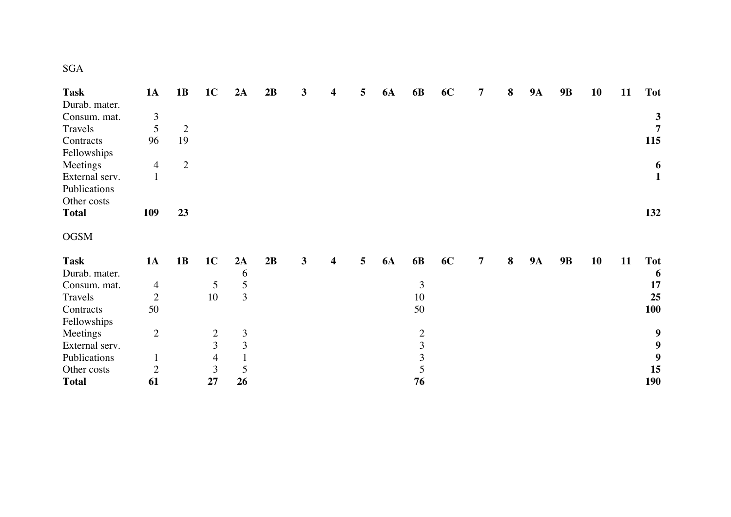| <b>Task</b>    | 1A             | 1B             | 1 <sub>C</sub> | 2A             | 2B | 3 | 4                       | 5 | <b>6A</b> | 6 <b>B</b>     | 6C | 7 | $\bf{8}$ | <b>9A</b> | <b>9B</b> | 10 | 11 | <b>Tot</b>   |
|----------------|----------------|----------------|----------------|----------------|----|---|-------------------------|---|-----------|----------------|----|---|----------|-----------|-----------|----|----|--------------|
| Durab. mater.  |                |                |                |                |    |   |                         |   |           |                |    |   |          |           |           |    |    |              |
| Consum. mat.   | 3              |                |                |                |    |   |                         |   |           |                |    |   |          |           |           |    |    | 3            |
| Travels        | 5              | $\overline{2}$ |                |                |    |   |                         |   |           |                |    |   |          |           |           |    |    | 7            |
| Contracts      | 96             | 19             |                |                |    |   |                         |   |           |                |    |   |          |           |           |    |    | 115          |
| Fellowships    |                |                |                |                |    |   |                         |   |           |                |    |   |          |           |           |    |    |              |
| Meetings       | $\overline{4}$ | $\overline{2}$ |                |                |    |   |                         |   |           |                |    |   |          |           |           |    |    | 6            |
| External serv. |                |                |                |                |    |   |                         |   |           |                |    |   |          |           |           |    |    | $\mathbf{1}$ |
| Publications   |                |                |                |                |    |   |                         |   |           |                |    |   |          |           |           |    |    |              |
| Other costs    |                |                |                |                |    |   |                         |   |           |                |    |   |          |           |           |    |    |              |
| <b>Total</b>   | <b>109</b>     | 23             |                |                |    |   |                         |   |           |                |    |   |          |           |           |    |    | 132          |
| <b>OGSM</b>    |                |                |                |                |    |   |                         |   |           |                |    |   |          |           |           |    |    |              |
| <b>Task</b>    | <b>1A</b>      | 1B             | 1 <sub>C</sub> | 2A             | 2B | 3 | $\overline{\mathbf{4}}$ | 5 | <b>6A</b> | 6 <b>B</b>     | 6C | 7 | 8        | <b>9A</b> | <b>9B</b> | 10 | 11 | <b>Tot</b>   |
| Durab. mater.  |                |                |                | 6              |    |   |                         |   |           |                |    |   |          |           |           |    |    | 6            |
| Consum. mat.   | $\overline{4}$ |                | 5              | 5              |    |   |                         |   |           | $\mathfrak{Z}$ |    |   |          |           |           |    |    | 17           |
| Travels        | $\overline{2}$ |                | 10             | 3              |    |   |                         |   |           | 10             |    |   |          |           |           |    |    | 25           |
| Contracts      | 50             |                |                |                |    |   |                         |   |           | 50             |    |   |          |           |           |    |    | 100          |
| Fellowships    |                |                |                |                |    |   |                         |   |           |                |    |   |          |           |           |    |    |              |
| Meetings       | $\overline{2}$ |                | $\overline{c}$ | $\mathfrak{Z}$ |    |   |                         |   |           |                |    |   |          |           |           |    |    | 9            |
| External serv. |                |                | 3              | 3              |    |   |                         |   |           | $\frac{2}{3}$  |    |   |          |           |           |    |    | 9            |
| Publications   |                |                | $\overline{4}$ |                |    |   |                         |   |           | 3              |    |   |          |           |           |    |    | 9            |
| Other costs    | $\overline{2}$ |                | 3              | 5              |    |   |                         |   |           | 5              |    |   |          |           |           |    |    | 15           |
| <b>Total</b>   | 61             |                | 27             | 26             |    |   |                         |   |           | 76             |    |   |          |           |           |    |    | <b>190</b>   |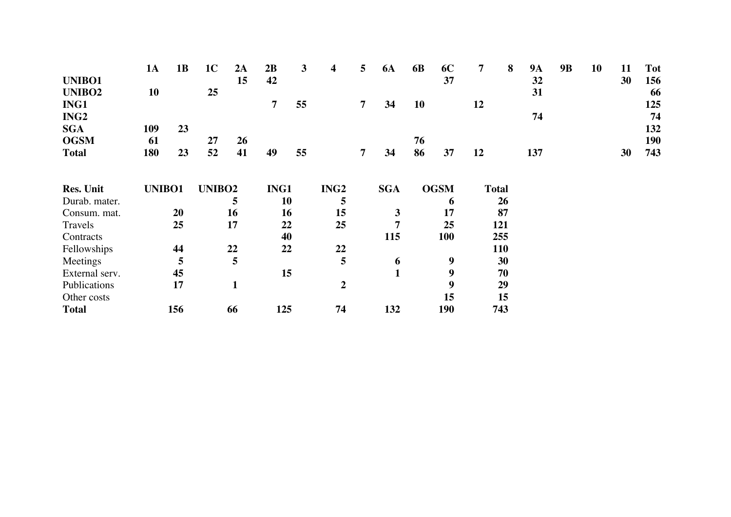|                    | <b>1A</b>     | 1B  | 1 <sub>C</sub> | 2A           | 2B             | 3  | 4                | 5              | <b>6A</b>    | 6 <b>B</b> | 6C          | $\overline{7}$ | 8            | <b>9A</b> | <b>9B</b> | 10 | 11 | <b>Tot</b> |
|--------------------|---------------|-----|----------------|--------------|----------------|----|------------------|----------------|--------------|------------|-------------|----------------|--------------|-----------|-----------|----|----|------------|
| UNIBO1             |               |     |                | 15           | 42             |    |                  |                |              |            | 37          |                |              | 32        |           |    | 30 | 156        |
| UNIBO <sub>2</sub> | 10            |     | 25             |              |                |    |                  |                |              |            |             |                |              | 31        |           |    |    | 66         |
| ING1               |               |     |                |              | $\overline{7}$ | 55 |                  | $\overline{7}$ | 34           | 10         |             | 12             |              |           |           |    |    | 125        |
| ING <sub>2</sub>   |               |     |                |              |                |    |                  |                |              |            |             |                |              | 74        |           |    |    | 74         |
| <b>SGA</b>         | 109           | 23  |                |              |                |    |                  |                |              |            |             |                |              |           |           |    |    | 132        |
| <b>OGSM</b>        | 61            |     | 27             | 26           |                |    |                  |                |              | 76         |             |                |              |           |           |    |    | 190        |
| <b>Total</b>       | 180           | 23  | 52             | 41           | 49             | 55 |                  | 7              | 34           | 86         | 37          | 12             |              | 137       |           |    | 30 | 743        |
|                    |               |     |                |              |                |    |                  |                |              |            |             |                |              |           |           |    |    |            |
| <b>Res. Unit</b>   | <b>UNIBO1</b> |     | <b>UNIBO2</b>  |              | ING1           |    | ING <sub>2</sub> |                | <b>SGA</b>   |            | <b>OGSM</b> |                | <b>Total</b> |           |           |    |    |            |
| Durab. mater.      |               |     |                | 5            |                | 10 | 5                |                |              |            | 6           |                | 26           |           |           |    |    |            |
| Consum. mat.       |               | 20  |                | 16           |                | 16 | 15               |                | 3            |            | 17          |                | 87           |           |           |    |    |            |
| Travels            |               | 25  |                | 17           |                | 22 | 25               |                | 7            |            | 25          |                | 121          |           |           |    |    |            |
| Contracts          |               |     |                |              |                | 40 |                  |                | 115          |            | <b>100</b>  |                | 255          |           |           |    |    |            |
| Fellowships        |               | 44  |                | 22           |                | 22 | 22               |                |              |            |             |                | <b>110</b>   |           |           |    |    |            |
| Meetings           |               | 5   |                | 5            |                |    | 5                |                | 6            |            | 9           |                | 30           |           |           |    |    |            |
| External serv.     |               | 45  |                |              |                | 15 |                  |                | $\mathbf{1}$ |            | 9           |                | 70           |           |           |    |    |            |
| Publications       |               | 17  |                | $\mathbf{1}$ |                |    | $\overline{2}$   |                |              |            | 9           |                | 29           |           |           |    |    |            |
| Other costs        |               |     |                |              |                |    |                  |                |              |            | 15          |                | 15           |           |           |    |    |            |
| <b>Total</b>       |               | 156 |                | 66           | 125            |    | 74               |                | 132          |            | 190         |                | 743          |           |           |    |    |            |